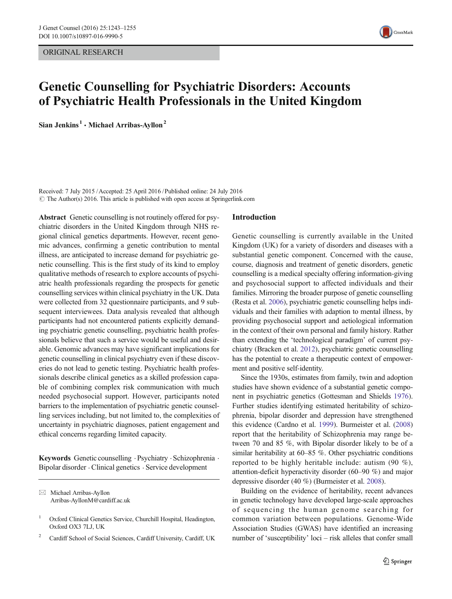ORIGINAL RESEARCH



# Genetic Counselling for Psychiatric Disorders: Accounts of Psychiatric Health Professionals in the United Kingdom

Sian Jenkins<sup>1</sup>  $\cdot$  Michael Arribas-Ayllon<sup>2</sup>

Received: 7 July 2015 /Accepted: 25 April 2016 /Published online: 24 July 2016  $\odot$  The Author(s) 2016. This article is published with open access at Springerlink.com

Abstract Genetic counselling is not routinely offered for psychiatric disorders in the United Kingdom through NHS regional clinical genetics departments. However, recent genomic advances, confirming a genetic contribution to mental illness, are anticipated to increase demand for psychiatric genetic counselling. This is the first study of its kind to employ qualitative methods of research to explore accounts of psychiatric health professionals regarding the prospects for genetic counselling services within clinical psychiatry in the UK. Data were collected from 32 questionnaire participants, and 9 subsequent interviewees. Data analysis revealed that although participants had not encountered patients explicitly demanding psychiatric genetic counselling, psychiatric health professionals believe that such a service would be useful and desirable. Genomic advances may have significant implications for genetic counselling in clinical psychiatry even if these discoveries do not lead to genetic testing. Psychiatric health professionals describe clinical genetics as a skilled profession capable of combining complex risk communication with much needed psychosocial support. However, participants noted barriers to the implementation of psychiatric genetic counselling services including, but not limited to, the complexities of uncertainty in psychiatric diagnoses, patient engagement and ethical concerns regarding limited capacity.

Keywords Genetic counselling . Psychiatry . Schizophrenia . Bipolar disorder . Clinical genetics . Service development

 $\boxtimes$  Michael Arribas-Ayllon Arribas-AyllonM@cardiff.ac.uk

<sup>2</sup> Cardiff School of Social Sciences, Cardiff University, Cardiff, UK

#### Introduction

Genetic counselling is currently available in the United Kingdom (UK) for a variety of disorders and diseases with a substantial genetic component. Concerned with the cause, course, diagnosis and treatment of genetic disorders, genetic counselling is a medical specialty offering information-giving and psychosocial support to affected individuals and their families. Mirroring the broader purpose of genetic counselling (Resta et al. [2006\)](#page-12-0), psychiatric genetic counselling helps individuals and their families with adaption to mental illness, by providing psychosocial support and aetiological information in the context of their own personal and family history. Rather than extending the 'technological paradigm' of current psychiatry (Bracken et al. [2012](#page-11-0)), psychiatric genetic counselling has the potential to create a therapeutic context of empowerment and positive self-identity.

Since the 1930s, estimates from family, twin and adoption studies have shown evidence of a substantial genetic component in psychiatric genetics (Gottesman and Shields [1976\)](#page-11-0). Further studies identifying estimated heritability of schizophrenia, bipolar disorder and depression have strengthened this evidence (Cardno et al. [1999\)](#page-11-0). Burmeister et al. [\(2008](#page-11-0)) report that the heritability of Schizophrenia may range between 70 and 85 %, with Bipolar disorder likely to be of a similar heritability at 60–85 %. Other psychiatric conditions reported to be highly heritable include: autism (90 %), attention-deficit hyperactivity disorder (60–90 %) and major depressive disorder (40 %) (Burmeister et al. [2008\)](#page-11-0).

Building on the evidence of heritability, recent advances in genetic technology have developed large-scale approaches of sequencing the human genome searching for common variation between populations. Genome-Wide Association Studies (GWAS) have identified an increasing number of 'susceptibility' loci – risk alleles that confer small

<sup>&</sup>lt;sup>1</sup> Oxford Clinical Genetics Service, Churchill Hospital, Headington, Oxford OX3 7LJ, UK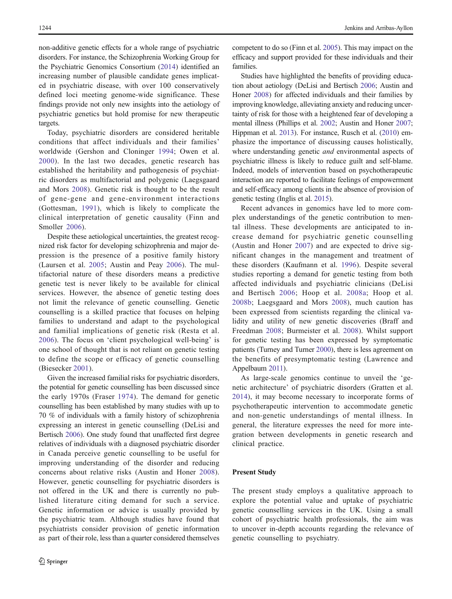non-additive genetic effects for a whole range of psychiatric disorders. For instance, the Schizophrenia Working Group for the Psychiatric Genomics Consortium ([2014](#page-12-0)) identified an increasing number of plausible candidate genes implicated in psychiatric disease, with over 100 conservatively defined loci meeting genome-wide significance. These findings provide not only new insights into the aetiology of psychiatric genetics but hold promise for new therapeutic targets.

Today, psychiatric disorders are considered heritable conditions that affect individuals and their families' worldwide (Gershon and Cloninger [1994;](#page-11-0) Owen et al. [2000\)](#page-12-0). In the last two decades, genetic research has established the heritability and pathogenesis of psychiatric disorders as multifactorial and polygenic (Laegsgaard and Mors [2008](#page-11-0)). Genetic risk is thought to be the result of gene-gene and gene-environment interactions (Gottesman, [1991](#page-11-0)), which is likely to complicate the clinical interpretation of genetic causality (Finn and Smoller [2006\)](#page-11-0).

Despite these aetiological uncertainties, the greatest recognized risk factor for developing schizophrenia and major depression is the presence of a positive family history (Laursen et al. [2005;](#page-11-0) Austin and Peay [2006\)](#page-11-0). The multifactorial nature of these disorders means a predictive genetic test is never likely to be available for clinical services. However, the absence of genetic testing does not limit the relevance of genetic counselling. Genetic counselling is a skilled practice that focuses on helping families to understand and adapt to the psychological and familial implications of genetic risk (Resta et al. [2006\)](#page-12-0). The focus on 'client psychological well-being' is one school of thought that is not reliant on genetic testing to define the scope or efficacy of genetic counselling (Biesecker [2001](#page-11-0)).

Given the increased familial risks for psychiatric disorders, the potential for genetic counselling has been discussed since the early 1970s (Fraser [1974\)](#page-11-0). The demand for genetic counselling has been established by many studies with up to 70 % of individuals with a family history of schizophrenia expressing an interest in genetic counselling (DeLisi and Bertisch [2006\)](#page-11-0). One study found that unaffected first degree relatives of individuals with a diagnosed psychiatric disorder in Canada perceive genetic counselling to be useful for improving understanding of the disorder and reducing concerns about relative risks (Austin and Honer [2008](#page-11-0)). However, genetic counselling for psychiatric disorders is not offered in the UK and there is currently no published literature citing demand for such a service. Genetic information or advice is usually provided by the psychiatric team. Although studies have found that psychiatrists consider provision of genetic information as part of their role, less than a quarter considered themselves

competent to do so (Finn et al. [2005](#page-11-0)). This may impact on the efficacy and support provided for these individuals and their families.

Studies have highlighted the benefits of providing education about aetiology (DeLisi and Bertisch [2006;](#page-11-0) Austin and Honer [2008](#page-11-0)) for affected individuals and their families by improving knowledge, alleviating anxiety and reducing uncertainty of risk for those with a heightened fear of developing a mental illness (Phillips et al. [2002;](#page-12-0) Austin and Honer [2007;](#page-11-0) Hippman et al. [2013\)](#page-11-0). For instance, Rusch et al. [\(2010\)](#page-12-0) emphasize the importance of discussing causes holistically, where understanding genetic *and* environmental aspects of psychiatric illness is likely to reduce guilt and self-blame. Indeed, models of intervention based on psychotherapeutic interaction are reported to facilitate feelings of empowerment and self-efficacy among clients in the absence of provision of genetic testing (Inglis et al. [2015\)](#page-11-0).

Recent advances in genomics have led to more complex understandings of the genetic contribution to mental illness. These developments are anticipated to increase demand for psychiatric genetic counselling (Austin and Honer [2007](#page-11-0)) and are expected to drive significant changes in the management and treatment of these disorders (Kaufmann et al. [1996\)](#page-11-0). Despite several studies reporting a demand for genetic testing from both affected individuals and psychiatric clinicians (DeLisi and Bertisch [2006](#page-11-0); Hoop et al. [2008a;](#page-11-0) Hoop et al. [2008b;](#page-11-0) Laegsgaard and Mors [2008\)](#page-11-0), much caution has been expressed from scientists regarding the clinical validity and utility of new genetic discoveries (Braff and Freedman [2008;](#page-11-0) Burmeister et al. [2008\)](#page-11-0). Whilst support for genetic testing has been expressed by symptomatic patients (Turney and Turner [2000](#page-12-0)), there is less agreement on the benefits of presymptomatic testing (Lawrence and Appelbaum [2011](#page-12-0)).

As large-scale genomics continue to unveil the 'genetic architecture' of psychiatric disorders (Gratten et al. [2014](#page-11-0)), it may become necessary to incorporate forms of psychotherapeutic intervention to accommodate genetic and non-genetic understandings of mental illness. In general, the literature expresses the need for more integration between developments in genetic research and clinical practice.

#### Present Study

The present study employs a qualitative approach to explore the potential value and uptake of psychiatric genetic counselling services in the UK. Using a small cohort of psychiatric health professionals, the aim was to uncover in-depth accounts regarding the relevance of genetic counselling to psychiatry.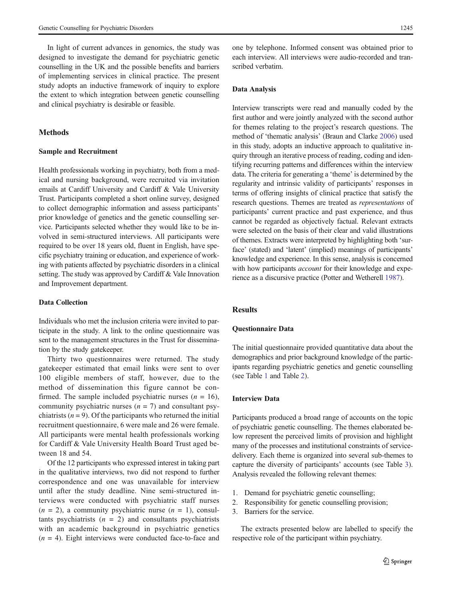In light of current advances in genomics, the study was designed to investigate the demand for psychiatric genetic counselling in the UK and the possible benefits and barriers of implementing services in clinical practice. The present study adopts an inductive framework of inquiry to explore the extent to which integration between genetic counselling and clinical psychiatry is desirable or feasible.

# **Methods**

## Sample and Recruitment

Health professionals working in psychiatry, both from a medical and nursing background, were recruited via invitation emails at Cardiff University and Cardiff & Vale University Trust. Participants completed a short online survey, designed to collect demographic information and assess participants' prior knowledge of genetics and the genetic counselling service. Participants selected whether they would like to be involved in semi-structured interviews. All participants were required to be over 18 years old, fluent in English, have specific psychiatry training or education, and experience of working with patients affected by psychiatric disorders in a clinical setting. The study was approved by Cardiff & Vale Innovation and Improvement department.

## Data Collection

Individuals who met the inclusion criteria were invited to participate in the study. A link to the online questionnaire was sent to the management structures in the Trust for dissemination by the study gatekeeper.

Thirty two questionnaires were returned. The study gatekeeper estimated that email links were sent to over 100 eligible members of staff, however, due to the method of dissemination this figure cannot be confirmed. The sample included psychiatric nurses  $(n = 16)$ , community psychiatric nurses  $(n = 7)$  and consultant psychiatrists  $(n = 9)$ . Of the participants who returned the initial recruitment questionnaire, 6 were male and 26 were female. All participants were mental health professionals working for Cardiff & Vale University Health Board Trust aged between 18 and 54.

Of the 12 participants who expressed interest in taking part in the qualitative interviews, two did not respond to further correspondence and one was unavailable for interview until after the study deadline. Nine semi-structured interviews were conducted with psychiatric staff nurses  $(n = 2)$ , a community psychiatric nurse  $(n = 1)$ , consultants psychiatrists  $(n = 2)$  and consultants psychiatrists with an academic background in psychiatric genetics  $(n = 4)$ . Eight interviews were conducted face-to-face and

one by telephone. Informed consent was obtained prior to each interview. All interviews were audio-recorded and transcribed verbatim.

# Data Analysis

Interview transcripts were read and manually coded by the first author and were jointly analyzed with the second author for themes relating to the project's research questions. The method of 'thematic analysis' (Braun and Clarke [2006](#page-11-0)) used in this study, adopts an inductive approach to qualitative inquiry through an iterative process of reading, coding and identifying recurring patterns and differences within the interview data. The criteria for generating a 'theme' is determined by the regularity and intrinsic validity of participants' responses in terms of offering insights of clinical practice that satisfy the research questions. Themes are treated as representations of participants' current practice and past experience, and thus cannot be regarded as objectively factual. Relevant extracts were selected on the basis of their clear and valid illustrations of themes. Extracts were interpreted by highlighting both 'surface' (stated) and 'latent' (implied) meanings of participants' knowledge and experience. In this sense, analysis is concerned with how participants *account* for their knowledge and experience as a discursive practice (Potter and Wetherell [1987\)](#page-12-0).

# **Results**

# Questionnaire Data

The initial questionnaire provided quantitative data about the demographics and prior background knowledge of the participants regarding psychiatric genetics and genetic counselling (see Table [1](#page-3-0) and Table [2](#page-3-0)).

## Interview Data

Participants produced a broad range of accounts on the topic of psychiatric genetic counselling. The themes elaborated below represent the perceived limits of provision and highlight many of the processes and institutional constraints of servicedelivery. Each theme is organized into several sub-themes to capture the diversity of participants' accounts (see Table [3\)](#page-4-0). Analysis revealed the following relevant themes:

- 1. Demand for psychiatric genetic counselling;
- 2. Responsibility for genetic counselling provision;
- 3. Barriers for the service.

The extracts presented below are labelled to specify the respective role of the participant within psychiatry.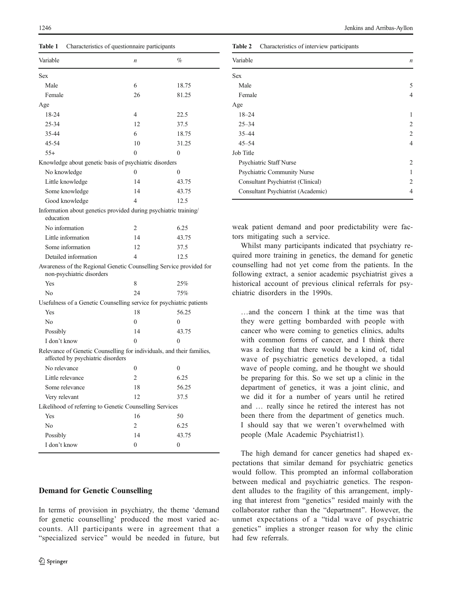<span id="page-3-0"></span>Table 1 Characteristics of questionnaire participants

| Variable                                                                                                   | n                | %                |  |  |
|------------------------------------------------------------------------------------------------------------|------------------|------------------|--|--|
| Sex                                                                                                        |                  |                  |  |  |
| Male                                                                                                       | 6                | 18.75            |  |  |
| Female                                                                                                     | 26               | 81.25            |  |  |
| Age                                                                                                        |                  |                  |  |  |
| 18-24                                                                                                      | 4                | 22.5             |  |  |
| 25-34                                                                                                      | 12               | 37.5             |  |  |
| 35-44                                                                                                      | 6                | 18.75            |  |  |
| 45-54                                                                                                      | 10               | 31.25            |  |  |
| $55+$                                                                                                      | 0                | $\theta$         |  |  |
| Knowledge about genetic basis of psychiatric disorders                                                     |                  |                  |  |  |
| No knowledge                                                                                               | 0                | 0                |  |  |
| Little knowledge                                                                                           | 14               | 43.75            |  |  |
| Some knowledge                                                                                             | 14               | 43.75            |  |  |
| Good knowledge                                                                                             | 4                | 12.5             |  |  |
| Information about genetics provided during psychiatric training/<br>education                              |                  |                  |  |  |
| No information                                                                                             | 2                | 6.25             |  |  |
| Little information                                                                                         | 14               | 43.75            |  |  |
| Some information                                                                                           | 12               | 37.5             |  |  |
| Detailed information                                                                                       | $\overline{4}$   | 12.5             |  |  |
| Awareness of the Regional Genetic Counselling Service provided for<br>non-psychiatric disorders            |                  |                  |  |  |
| Yes                                                                                                        | 8                | 25%              |  |  |
| No                                                                                                         | 24               | 75%              |  |  |
| Usefulness of a Genetic Counselling service for psychiatric patients                                       |                  |                  |  |  |
| Yes                                                                                                        | 18               | 56.25            |  |  |
| No                                                                                                         | 0                | 0                |  |  |
| Possibly                                                                                                   | 14               | 43.75            |  |  |
| I don't know                                                                                               | 0                | 0                |  |  |
| Relevance of Genetic Counselling for individuals, and their families,<br>affected by psychiatric disorders |                  |                  |  |  |
| No relevance                                                                                               | $\boldsymbol{0}$ | $\boldsymbol{0}$ |  |  |
| Little relevance                                                                                           | 2                | 6.25             |  |  |
| Some relevance                                                                                             | 18               | 56.25            |  |  |
| Very relevant                                                                                              | 12               | 37.5             |  |  |
| Likelihood of referring to Genetic Counselling Services                                                    |                  |                  |  |  |
| Yes                                                                                                        | 16               | 50               |  |  |
| No                                                                                                         | $\overline{c}$   | 6.25             |  |  |
| Possibly                                                                                                   | 14               | 43.75            |  |  |
| I don't know                                                                                               | $\boldsymbol{0}$ | 0                |  |  |
|                                                                                                            |                  |                  |  |  |

# Demand for Genetic Counselling

In terms of provision in psychiatry, the theme 'demand for genetic counselling' produced the most varied accounts. All participants were in agreement that a "specialized service" would be needed in future, but

#### Table 2 Characteristics of interview participants

| Variable                           | $\boldsymbol{n}$ |
|------------------------------------|------------------|
| <b>Sex</b>                         |                  |
| Male                               | 5                |
| Female                             | $\overline{4}$   |
| Age                                |                  |
| $18 - 24$                          | 1                |
| $25 - 34$                          | 2                |
| $35 - 44$                          | 2                |
| $45 - 54$                          | 4                |
| Job Title                          |                  |
| Psychiatric Staff Nurse            | 2                |
| Psychiatric Community Nurse        | 1                |
| Consultant Psychiatrist (Clinical) | 2                |
| Consultant Psychiatrist (Academic) |                  |

weak patient demand and poor predictability were factors mitigating such a service.

Whilst many participants indicated that psychiatry required more training in genetics, the demand for genetic counselling had not yet come from the patients. In the following extract, a senior academic psychiatrist gives a historical account of previous clinical referrals for psychiatric disorders in the 1990s.

…and the concern I think at the time was that they were getting bombarded with people with cancer who were coming to genetics clinics, adults with common forms of cancer, and I think there was a feeling that there would be a kind of, tidal wave of psychiatric genetics developed, a tidal wave of people coming, and he thought we should be preparing for this. So we set up a clinic in the department of genetics, it was a joint clinic, and we did it for a number of years until he retired and … really since he retired the interest has not been there from the department of genetics much. I should say that we weren't overwhelmed with people (Male Academic Psychiatrist1).

The high demand for cancer genetics had shaped expectations that similar demand for psychiatric genetics would follow. This prompted an informal collaboration between medical and psychiatric genetics. The respondent alludes to the fragility of this arrangement, implying that interest from "genetics" resided mainly with the collaborator rather than the "department". However, the unmet expectations of a "tidal wave of psychiatric genetics" implies a stronger reason for why the clinic had few referrals.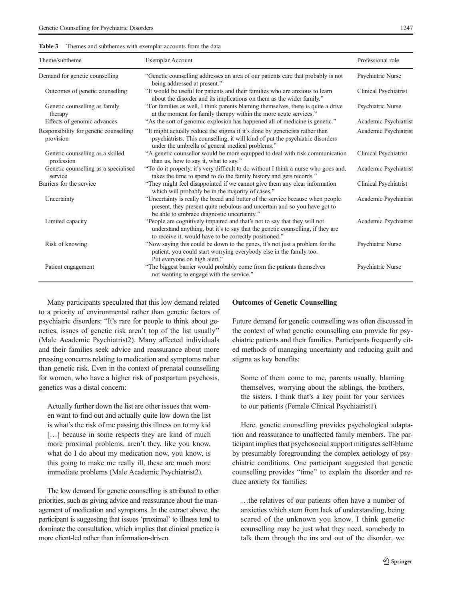#### <span id="page-4-0"></span>Table 3 Themes and subthemes with exemplar accounts from the data

| Theme/subtheme                                      | Exemplar Account                                                                                                                                                                                                      | Professional role            |
|-----------------------------------------------------|-----------------------------------------------------------------------------------------------------------------------------------------------------------------------------------------------------------------------|------------------------------|
| Demand for genetic counselling                      | "Genetic counselling addresses an area of our patients care that probably is not<br>being addressed at present."                                                                                                      | Psychiatric Nurse            |
| Outcomes of genetic counselling                     | "It would be useful for patients and their families who are anxious to learn<br>about the disorder and its implications on them as the wider family."                                                                 | <b>Clinical Psychiatrist</b> |
| Genetic counselling as family<br>therapy            | "For families as well, I think parents blaming themselves, there is quite a drive<br>at the moment for family therapy within the more acute services."                                                                | Psychiatric Nurse            |
| Effects of genomic advances                         | "As the sort of genomic explosion has happened all of medicine is genetic."                                                                                                                                           | Academic Psychiatrist        |
| Responsibility for genetic counselling<br>provision | "It might actually reduce the stigma if it's done by geneticists rather than<br>psychiatrists. This counselling, it will kind of put the psychiatric disorders<br>under the umbrella of general medical problems."    | Academic Psychiatrist        |
| Genetic counselling as a skilled<br>profession      | "A genetic counsellor would be more equipped to deal with risk communication<br>than us, how to say it, what to say."                                                                                                 | Clinical Psychiatrist        |
| Genetic counselling as a specialised<br>service     | "To do it properly, it's very difficult to do without I think a nurse who goes and,<br>takes the time to spend to do the family history and gets records."                                                            | Academic Psychiatrist        |
| Barriers for the service                            | "They might feel disappointed if we cannot give them any clear information<br>which will probably be in the majority of cases."                                                                                       | <b>Clinical Psychiatrist</b> |
| Uncertainty                                         | "Uncertainty is really the bread and butter of the service because when people<br>present, they present quite nebulous and uncertain and so you have got to<br>be able to embrace diagnostic uncertainty."            | Academic Psychiatrist        |
| Limited capacity                                    | "People are cognitively impaired and that's not to say that they will not<br>understand anything, but it's to say that the genetic counselling, if they are<br>to receive it, would have to be correctly positioned." | Academic Psychiatrist        |
| Risk of knowing                                     | "Now saying this could be down to the genes, it's not just a problem for the<br>patient, you could start worrying everybody else in the family too.<br>Put everyone on high alert."                                   | Psychiatric Nurse            |
| Patient engagement                                  | "The biggest barrier would probably come from the patients themselves<br>not wanting to engage with the service."                                                                                                     | Psychiatric Nurse            |

Many participants speculated that this low demand related to a priority of environmental rather than genetic factors of psychiatric disorders: "It's rare for people to think about genetics, issues of genetic risk aren't top of the list usually^ (Male Academic Psychiatrist2). Many affected individuals and their families seek advice and reassurance about more pressing concerns relating to medication and symptoms rather than genetic risk. Even in the context of prenatal counselling for women, who have a higher risk of postpartum psychosis, genetics was a distal concern:

Actually further down the list are other issues that women want to find out and actually quite low down the list is what's the risk of me passing this illness on to my kid [...] because in some respects they are kind of much more proximal problems, aren't they, like you know, what do I do about my medication now, you know, is this going to make me really ill, these are much more immediate problems (Male Academic Psychiatrist2).

The low demand for genetic counselling is attributed to other priorities, such as giving advice and reassurance about the management of medication and symptoms. In the extract above, the participant is suggesting that issues 'proximal' to illness tend to dominate the consultation, which implies that clinical practice is more client-led rather than information-driven.

#### Outcomes of Genetic Counselling

Future demand for genetic counselling was often discussed in the context of what genetic counselling can provide for psychiatric patients and their families. Participants frequently cited methods of managing uncertainty and reducing guilt and stigma as key benefits:

Some of them come to me, parents usually, blaming themselves, worrying about the siblings, the brothers, the sisters. I think that's a key point for your services to our patients (Female Clinical Psychiatrist1).

Here, genetic counselling provides psychological adaptation and reassurance to unaffected family members. The participant implies that psychosocial support mitigates self-blame by presumably foregrounding the complex aetiology of psychiatric conditions. One participant suggested that genetic counselling provides "time" to explain the disorder and reduce anxiety for families:

…the relatives of our patients often have a number of anxieties which stem from lack of understanding, being scared of the unknown you know. I think genetic counselling may be just what they need, somebody to talk them through the ins and out of the disorder, we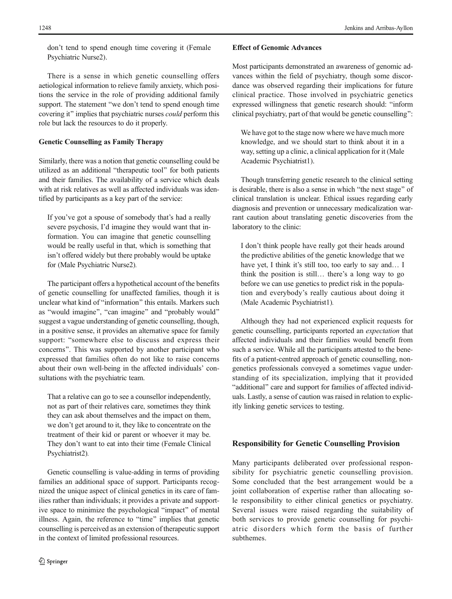don't tend to spend enough time covering it (Female Psychiatric Nurse2).

There is a sense in which genetic counselling offers aetiological information to relieve family anxiety, which positions the service in the role of providing additional family support. The statement "we don't tend to spend enough time covering it" implies that psychiatric nurses *could* perform this role but lack the resources to do it properly.

# Genetic Counselling as Family Therapy

Similarly, there was a notion that genetic counselling could be utilized as an additional "therapeutic tool" for both patients and their families. The availability of a service which deals with at risk relatives as well as affected individuals was identified by participants as a key part of the service:

If you've got a spouse of somebody that's had a really severe psychosis, I'd imagine they would want that information. You can imagine that genetic counselling would be really useful in that, which is something that isn't offered widely but there probably would be uptake for (Male Psychiatric Nurse2).

The participant offers a hypothetical account of the benefits of genetic counselling for unaffected families, though it is unclear what kind of "information" this entails. Markers such as "would imagine", "can imagine" and "probably would" suggest a vague understanding of genetic counselling, though, in a positive sense, it provides an alternative space for family support: "somewhere else to discuss and express their concerns". This was supported by another participant who expressed that families often do not like to raise concerns about their own well-being in the affected individuals' consultations with the psychiatric team.

That a relative can go to see a counsellor independently, not as part of their relatives care, sometimes they think they can ask about themselves and the impact on them, we don't get around to it, they like to concentrate on the treatment of their kid or parent or whoever it may be. They don't want to eat into their time (Female Clinical Psychiatrist2).

Genetic counselling is value-adding in terms of providing families an additional space of support. Participants recognized the unique aspect of clinical genetics in its care of families rather than individuals; it provides a private and supportive space to minimize the psychological "impact" of mental illness. Again, the reference to "time" implies that genetic counselling is perceived as an extension of therapeutic support in the context of limited professional resources.

# Effect of Genomic Advances

Most participants demonstrated an awareness of genomic advances within the field of psychiatry, though some discordance was observed regarding their implications for future clinical practice. Those involved in psychiatric genetics expressed willingness that genetic research should: "inform clinical psychiatry, part of that would be genetic counselling^:

We have got to the stage now where we have much more knowledge, and we should start to think about it in a way, setting up a clinic, a clinical application for it (Male Academic Psychiatrist1).

Though transferring genetic research to the clinical setting is desirable, there is also a sense in which "the next stage" of clinical translation is unclear. Ethical issues regarding early diagnosis and prevention or unnecessary medicalization warrant caution about translating genetic discoveries from the laboratory to the clinic:

I don't think people have really got their heads around the predictive abilities of the genetic knowledge that we have yet, I think it's still too, too early to say and... I think the position is still… there's a long way to go before we can use genetics to predict risk in the population and everybody's really cautious about doing it (Male Academic Psychiatrist1).

Although they had not experienced explicit requests for genetic counselling, participants reported an expectation that affected individuals and their families would benefit from such a service. While all the participants attested to the benefits of a patient-centred approach of genetic counselling, nongenetics professionals conveyed a sometimes vague understanding of its specialization, implying that it provided "additional" care and support for families of affected individuals. Lastly, a sense of caution was raised in relation to explicitly linking genetic services to testing.

# Responsibility for Genetic Counselling Provision

Many participants deliberated over professional responsibility for psychiatric genetic counselling provision. Some concluded that the best arrangement would be a joint collaboration of expertise rather than allocating sole responsibility to either clinical genetics or psychiatry. Several issues were raised regarding the suitability of both services to provide genetic counselling for psychiatric disorders which form the basis of further subthemes.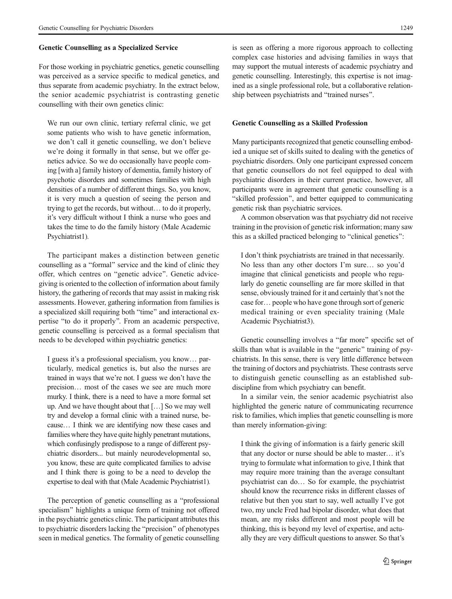#### Genetic Counselling as a Specialized Service

For those working in psychiatric genetics, genetic counselling was perceived as a service specific to medical genetics, and thus separate from academic psychiatry. In the extract below, the senior academic psychiatrist is contrasting genetic counselling with their own genetics clinic:

We run our own clinic, tertiary referral clinic, we get some patients who wish to have genetic information, we don't call it genetic counselling, we don't believe we're doing it formally in that sense, but we offer genetics advice. So we do occasionally have people coming [with a] family history of dementia, family history of psychotic disorders and sometimes families with high densities of a number of different things. So, you know, it is very much a question of seeing the person and trying to get the records, but without… to do it properly, it's very difficult without I think a nurse who goes and takes the time to do the family history (Male Academic Psychiatrist1).

The participant makes a distinction between genetic counselling as a "formal" service and the kind of clinic they offer, which centres on "genetic advice". Genetic advicegiving is oriented to the collection of information about family history, the gathering of records that may assist in making risk assessments. However, gathering information from families is a specialized skill requiring both "time" and interactional expertise "to do it properly". From an academic perspective, genetic counselling is perceived as a formal specialism that needs to be developed within psychiatric genetics:

I guess it's a professional specialism, you know… particularly, medical genetics is, but also the nurses are trained in ways that we're not. I guess we don't have the precision… most of the cases we see are much more murky. I think, there is a need to have a more formal set up. And we have thought about that […] So we may well try and develop a formal clinic with a trained nurse, because… I think we are identifying now these cases and families where they have quite highly penetrant mutations, which confusingly predispose to a range of different psychiatric disorders... but mainly neurodevelopmental so, you know, these are quite complicated families to advise and I think there is going to be a need to develop the expertise to deal with that (Male Academic Psychiatrist1).

The perception of genetic counselling as a "professional" specialism" highlights a unique form of training not offered in the psychiatric genetics clinic. The participant attributes this to psychiatric disorders lacking the "precision" of phenotypes seen in medical genetics. The formality of genetic counselling is seen as offering a more rigorous approach to collecting complex case histories and advising families in ways that may support the mutual interests of academic psychiatry and genetic counselling. Interestingly, this expertise is not imagined as a single professional role, but a collaborative relationship between psychiatrists and "trained nurses".

## Genetic Counselling as a Skilled Profession

Many participants recognized that genetic counselling embodied a unique set of skills suited to dealing with the genetics of psychiatric disorders. Only one participant expressed concern that genetic counsellors do not feel equipped to deal with psychiatric disorders in their current practice, however, all participants were in agreement that genetic counselling is a "skilled profession", and better equipped to communicating genetic risk than psychiatric services.

A common observation was that psychiatry did not receive training in the provision of genetic risk information; many saw this as a skilled practiced belonging to "clinical genetics":

I don't think psychiatrists are trained in that necessarily. No less than any other doctors I'm sure… so you'd imagine that clinical geneticists and people who regularly do genetic counselling are far more skilled in that sense, obviously trained for it and certainly that's not the case for… people who have gone through sort of generic medical training or even speciality training (Male Academic Psychiatrist3).

Genetic counselling involves a "far more" specific set of skills than what is available in the "generic" training of psychiatrists. In this sense, there is very little difference between the training of doctors and psychiatrists. These contrasts serve to distinguish genetic counselling as an established subdiscipline from which psychiatry can benefit.

In a similar vein, the senior academic psychiatrist also highlighted the generic nature of communicating recurrence risk to families, which implies that genetic counselling is more than merely information-giving:

I think the giving of information is a fairly generic skill that any doctor or nurse should be able to master… it's trying to formulate what information to give, I think that may require more training than the average consultant psychiatrist can do… So for example, the psychiatrist should know the recurrence risks in different classes of relative but then you start to say, well actually I've got two, my uncle Fred had bipolar disorder, what does that mean, are my risks different and most people will be thinking, this is beyond my level of expertise, and actually they are very difficult questions to answer. So that's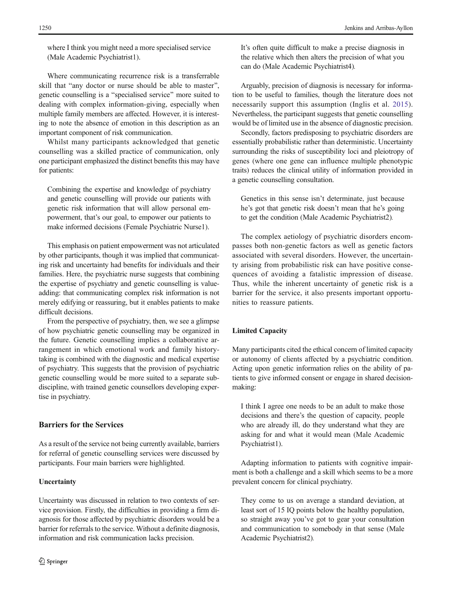where I think you might need a more specialised service (Male Academic Psychiatrist1).

Where communicating recurrence risk is a transferrable skill that "any doctor or nurse should be able to master", genetic counselling is a "specialised service" more suited to dealing with complex information-giving, especially when multiple family members are affected. However, it is interesting to note the absence of emotion in this description as an important component of risk communication.

Whilst many participants acknowledged that genetic counselling was a skilled practice of communication, only one participant emphasized the distinct benefits this may have for patients:

Combining the expertise and knowledge of psychiatry and genetic counselling will provide our patients with genetic risk information that will allow personal empowerment, that's our goal, to empower our patients to make informed decisions (Female Psychiatric Nurse1).

This emphasis on patient empowerment was not articulated by other participants, though it was implied that communicating risk and uncertainty had benefits for individuals and their families. Here, the psychiatric nurse suggests that combining the expertise of psychiatry and genetic counselling is valueadding: that communicating complex risk information is not merely edifying or reassuring, but it enables patients to make difficult decisions.

From the perspective of psychiatry, then, we see a glimpse of how psychiatric genetic counselling may be organized in the future. Genetic counselling implies a collaborative arrangement in which emotional work and family historytaking is combined with the diagnostic and medical expertise of psychiatry. This suggests that the provision of psychiatric genetic counselling would be more suited to a separate subdiscipline, with trained genetic counsellors developing expertise in psychiatry.

# Barriers for the Services

As a result of the service not being currently available, barriers for referral of genetic counselling services were discussed by participants. Four main barriers were highlighted.

# **Uncertainty**

Uncertainty was discussed in relation to two contexts of service provision. Firstly, the difficulties in providing a firm diagnosis for those affected by psychiatric disorders would be a barrier for referrals to the service. Without a definite diagnosis, information and risk communication lacks precision.

It's often quite difficult to make a precise diagnosis in the relative which then alters the precision of what you can do (Male Academic Psychiatrist4).

Arguably, precision of diagnosis is necessary for information to be useful to families, though the literature does not necessarily support this assumption (Inglis et al. [2015](#page-11-0)). Nevertheless, the participant suggests that genetic counselling would be of limited use in the absence of diagnostic precision.

Secondly, factors predisposing to psychiatric disorders are essentially probabilistic rather than deterministic. Uncertainty surrounding the risks of susceptibility loci and pleiotropy of genes (where one gene can influence multiple phenotypic traits) reduces the clinical utility of information provided in a genetic counselling consultation.

Genetics in this sense isn't determinate, just because he's got that genetic risk doesn't mean that he's going to get the condition (Male Academic Psychiatrist2).

The complex aetiology of psychiatric disorders encompasses both non-genetic factors as well as genetic factors associated with several disorders. However, the uncertainty arising from probabilistic risk can have positive consequences of avoiding a fatalistic impression of disease. Thus, while the inherent uncertainty of genetic risk is a barrier for the service, it also presents important opportunities to reassure patients.

# Limited Capacity

Many participants cited the ethical concern of limited capacity or autonomy of clients affected by a psychiatric condition. Acting upon genetic information relies on the ability of patients to give informed consent or engage in shared decisionmaking:

I think I agree one needs to be an adult to make those decisions and there's the question of capacity, people who are already ill, do they understand what they are asking for and what it would mean (Male Academic Psychiatrist1).

Adapting information to patients with cognitive impairment is both a challenge and a skill which seems to be a more prevalent concern for clinical psychiatry.

They come to us on average a standard deviation, at least sort of 15 IQ points below the healthy population, so straight away you've got to gear your consultation and communication to somebody in that sense (Male Academic Psychiatrist2).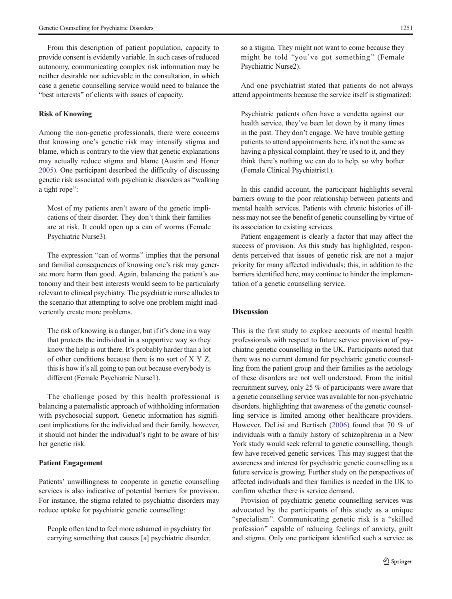From this description of patient population, capacity to provide consent is evidently variable. In such cases of reduced autonomy, communicating complex risk information may be neither desirable nor achievable in the consultation, in which case a genetic counselling service would need to balance the "best interests" of clients with issues of capacity.

### Risk of Knowing

Among the non-genetic professionals, there were concerns that knowing one's genetic risk may intensify stigma and blame, which is contrary to the view that genetic explanations may actually reduce stigma and blame (Austin and Honer [2005\)](#page-11-0). One participant described the difficulty of discussing genetic risk associated with psychiatric disorders as "walking a tight rope":

Most of my patients aren't aware of the genetic implications of their disorder. They don't think their families are at risk. It could open up a can of worms (Female Psychiatric Nurse3).

The expression "can of worms" implies that the personal and familial consequences of knowing one's risk may generate more harm than good. Again, balancing the patient's autonomy and their best interests would seem to be particularly relevant to clinical psychiatry. The psychiatric nurse alludes to the scenario that attempting to solve one problem might inadvertently create more problems.

The risk of knowing is a danger, but if it's done in a way that protects the individual in a supportive way so they know the help is out there. It's probably harder than a lot of other conditions because there is no sort of X Y Z, this is how it's all going to pan out because everybody is different (Female Psychiatric Nurse1).

The challenge posed by this health professional is balancing a paternalistic approach of withholding information with psychosocial support. Genetic information has significant implications for the individual and their family, however, it should not hinder the individual's right to be aware of his/ her genetic risk.

## Patient Engagement

Patients' unwillingness to cooperate in genetic counselling services is also indicative of potential barriers for provision. For instance, the stigma related to psychiatric disorders may reduce uptake for psychiatric genetic counselling:

People often tend to feel more ashamed in psychiatry for carrying something that causes [a] psychiatric disorder,

so a stigma. They might not want to come because they might be told "you've got something" (Female Psychiatric Nurse2).

And one psychiatrist stated that patients do not always attend appointments because the service itself is stigmatized:

Psychiatric patients often have a vendetta against our health service, they've been let down by it many times in the past. They don't engage. We have trouble getting patients to attend appointments here, it's not the same as having a physical complaint, they're used to it, and they think there's nothing we can do to help, so why bother (Female Clinical Psychiatrist1).

In this candid account, the participant highlights several barriers owing to the poor relationship between patients and mental health services. Patients with chronic histories of illness may not see the benefit of genetic counselling by virtue of its association to existing services.

Patient engagement is clearly a factor that may affect the success of provision. As this study has highlighted, respondents perceived that issues of genetic risk are not a major priority for many affected individuals; this, in addition to the barriers identified here, may continue to hinder the implementation of a genetic counselling service.

# **Discussion**

This is the first study to explore accounts of mental health professionals with respect to future service provision of psychiatric genetic counselling in the UK. Participants noted that there was no current demand for psychiatric genetic counselling from the patient group and their families as the aetiology of these disorders are not well understood. From the initial recruitment survey, only 25 % of participants were aware that a genetic counselling service was available for non-psychiatric disorders, highlighting that awareness of the genetic counselling service is limited among other healthcare providers. However, DeLisi and Bertisch [\(2006](#page-11-0)) found that 70 % of individuals with a family history of schizophrenia in a New York study would seek referral to genetic counselling, though few have received genetic services. This may suggest that the awareness and interest for psychiatric genetic counselling as a future service is growing. Further study on the perspectives of affected individuals and their families is needed in the UK to confirm whether there is service demand.

Provision of psychiatric genetic counselling services was advocated by the participants of this study as a unique "specialism". Communicating genetic risk is a "skilled profession" capable of reducing feelings of anxiety, guilt and stigma. Only one participant identified such a service as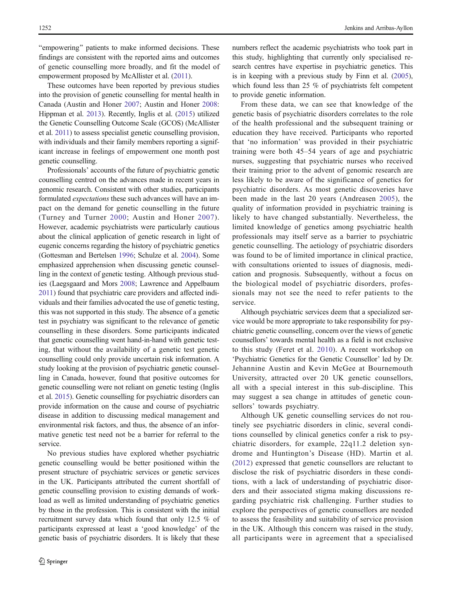"empowering" patients to make informed decisions. These findings are consistent with the reported aims and outcomes of genetic counselling more broadly, and fit the model of empowerment proposed by McAllister et al. ([2011](#page-12-0)).

These outcomes have been reported by previous studies into the provision of genetic counselling for mental health in Canada (Austin and Honer [2007;](#page-11-0) Austin and Honer [2008](#page-11-0): Hippman et al. [2013\)](#page-11-0). Recently, Inglis et al. [\(2015\)](#page-11-0) utilized the Genetic Counselling Outcome Scale (GCOS) (McAllister et al. [2011\)](#page-12-0) to assess specialist genetic counselling provision, with individuals and their family members reporting a significant increase in feelings of empowerment one month post genetic counselling.

Professionals' accounts of the future of psychiatric genetic counselling centred on the advances made in recent years in genomic research. Consistent with other studies, participants formulated expectations these such advances will have an impact on the demand for genetic counselling in the future (Turney and Turner [2000](#page-12-0); Austin and Honer [2007\)](#page-11-0). However, academic psychiatrists were particularly cautious about the clinical application of genetic research in light of eugenic concerns regarding the history of psychiatric genetics (Gottesman and Bertelsen [1996;](#page-11-0) Schulze et al. [2004](#page-12-0)). Some emphasized apprehension when discussing genetic counselling in the context of genetic testing. Although previous studies (Laegsgaard and Mors [2008;](#page-11-0) Lawrence and Appelbaum [2011](#page-12-0)) found that psychiatric care providers and affected individuals and their families advocated the use of genetic testing, this was not supported in this study. The absence of a genetic test in psychiatry was significant to the relevance of genetic counselling in these disorders. Some participants indicated that genetic counselling went hand-in-hand with genetic testing, that without the availability of a genetic test genetic counselling could only provide uncertain risk information. A study looking at the provision of psychiatric genetic counselling in Canada, however, found that positive outcomes for genetic counselling were not reliant on genetic testing (Inglis et al. [2015\)](#page-11-0). Genetic counselling for psychiatric disorders can provide information on the cause and course of psychiatric disease in addition to discussing medical management and environmental risk factors, and thus, the absence of an informative genetic test need not be a barrier for referral to the service.

No previous studies have explored whether psychiatric genetic counselling would be better positioned within the present structure of psychiatric services or genetic services in the UK. Participants attributed the current shortfall of genetic counselling provision to existing demands of workload as well as limited understanding of psychiatric genetics by those in the profession. This is consistent with the initial recruitment survey data which found that only 12.5 % of participants expressed at least a 'good knowledge' of the genetic basis of psychiatric disorders. It is likely that these

numbers reflect the academic psychiatrists who took part in this study, highlighting that currently only specialised research centres have expertise in psychiatric genetics. This is in keeping with a previous study by Finn et al. [\(2005\)](#page-11-0), which found less than 25 % of psychiatrists felt competent to provide genetic information.

From these data, we can see that knowledge of the genetic basis of psychiatric disorders correlates to the role of the health professional and the subsequent training or education they have received. Participants who reported that 'no information' was provided in their psychiatric training were both 45–54 years of age and psychiatric nurses, suggesting that psychiatric nurses who received their training prior to the advent of genomic research are less likely to be aware of the significance of genetics for psychiatric disorders. As most genetic discoveries have been made in the last 20 years (Andreasen [2005\)](#page-11-0), the quality of information provided in psychiatric training is likely to have changed substantially. Nevertheless, the limited knowledge of genetics among psychiatric health professionals may itself serve as a barrier to psychiatric genetic counselling. The aetiology of psychiatric disorders was found to be of limited importance in clinical practice, with consultations oriented to issues of diagnosis, medication and prognosis. Subsequently, without a focus on the biological model of psychiatric disorders, professionals may not see the need to refer patients to the service.

Although psychiatric services deem that a specialized service would be more appropriate to take responsibility for psychiatric genetic counselling, concern over the views of genetic counsellors' towards mental health as a field is not exclusive to this study (Feret et al. [2010\)](#page-11-0). A recent workshop on 'Psychiatric Genetics for the Genetic Counsellor' led by Dr. Jehannine Austin and Kevin McGee at Bournemouth University, attracted over 20 UK genetic counsellors, all with a special interest in this sub-discipline. This may suggest a sea change in attitudes of genetic counsellors' towards psychiatry.

Although UK genetic counselling services do not routinely see psychiatric disorders in clinic, several conditions counselled by clinical genetics confer a risk to psychiatric disorders, for example, 22q11.2 deletion syndrome and Huntington's Disease (HD). Martin et al. [\(2012\)](#page-12-0) expressed that genetic counsellors are reluctant to disclose the risk of psychiatric disorders in these conditions, with a lack of understanding of psychiatric disorders and their associated stigma making discussions regarding psychiatric risk challenging. Further studies to explore the perspectives of genetic counsellors are needed to assess the feasibility and suitability of service provision in the UK. Although this concern was raised in the study, all participants were in agreement that a specialised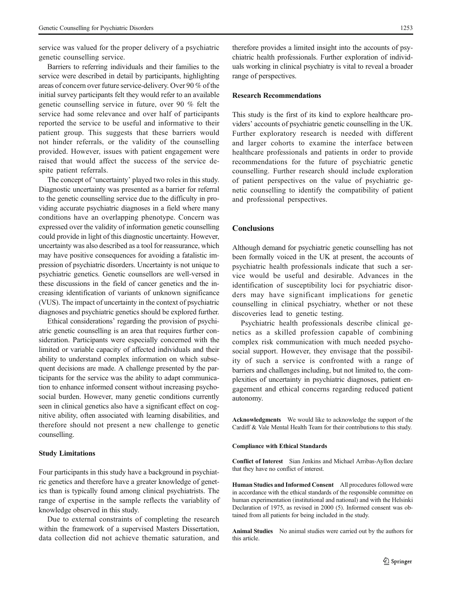service was valued for the proper delivery of a psychiatric genetic counselling service.

Barriers to referring individuals and their families to the service were described in detail by participants, highlighting areas of concern over future service-delivery. Over 90 % of the initial survey participants felt they would refer to an available genetic counselling service in future, over 90 % felt the service had some relevance and over half of participants reported the service to be useful and informative to their patient group. This suggests that these barriers would not hinder referrals, or the validity of the counselling provided. However, issues with patient engagement were raised that would affect the success of the service despite patient referrals.

The concept of 'uncertainty' played two roles in this study. Diagnostic uncertainty was presented as a barrier for referral to the genetic counselling service due to the difficulty in providing accurate psychiatric diagnoses in a field where many conditions have an overlapping phenotype. Concern was expressed over the validity of information genetic counselling could provide in light of this diagnostic uncertainty. However, uncertainty was also described as a tool for reassurance, which may have positive consequences for avoiding a fatalistic impression of psychiatric disorders. Uncertainty is not unique to psychiatric genetics. Genetic counsellors are well-versed in these discussions in the field of cancer genetics and the increasing identification of variants of unknown significance (VUS). The impact of uncertainty in the context of psychiatric diagnoses and psychiatric genetics should be explored further.

Ethical considerations' regarding the provision of psychiatric genetic counselling is an area that requires further consideration. Participants were especially concerned with the limited or variable capacity of affected individuals and their ability to understand complex information on which subsequent decisions are made. A challenge presented by the participants for the service was the ability to adapt communication to enhance informed consent without increasing psychosocial burden. However, many genetic conditions currently seen in clinical genetics also have a significant effect on cognitive ability, often associated with learning disabilities, and therefore should not present a new challenge to genetic counselling.

## Study Limitations

Four participants in this study have a background in psychiatric genetics and therefore have a greater knowledge of genetics than is typically found among clinical psychiatrists. The range of expertise in the sample reflects the variablity of knowledge observed in this study.

Due to external constraints of completing the research within the framework of a supervised Masters Dissertation, data collection did not achieve thematic saturation, and

therefore provides a limited insight into the accounts of psychiatric health professionals. Further exploration of individuals working in clinical psychiatry is vital to reveal a broader range of perspectives.

## Research Recommendations

This study is the first of its kind to explore healthcare providers' accounts of psychiatric genetic counselling in the UK. Further exploratory research is needed with different and larger cohorts to examine the interface between healthcare professionals and patients in order to provide recommendations for the future of psychiatric genetic counselling. Further research should include exploration of patient perspectives on the value of psychiatric genetic counselling to identify the compatibility of patient and professional perspectives.

# **Conclusions**

Although demand for psychiatric genetic counselling has not been formally voiced in the UK at present, the accounts of psychiatric health professionals indicate that such a service would be useful and desirable. Advances in the identification of susceptibility loci for psychiatric disorders may have significant implications for genetic counselling in clinical psychiatry, whether or not these discoveries lead to genetic testing.

Psychiatric health professionals describe clinical genetics as a skilled profession capable of combining complex risk communication with much needed psychosocial support. However, they envisage that the possibility of such a service is confronted with a range of barriers and challenges including, but not limited to, the complexities of uncertainty in psychiatric diagnoses, patient engagement and ethical concerns regarding reduced patient autonomy.

Acknowledgments We would like to acknowledge the support of the Cardiff & Vale Mental Health Team for their contributions to this study.

#### Compliance with Ethical Standards

Conflict of Interest Sian Jenkins and Michael Arribas-Ayllon declare that they have no conflict of interest.

Human Studies and Informed Consent All procedures followed were in accordance with the ethical standards of the responsible committee on human experimentation (institutional and national) and with the Helsinki Declaration of 1975, as revised in 2000 (5). Informed consent was obtained from all patients for being included in the study.

Animal Studies No animal studies were carried out by the authors for this article.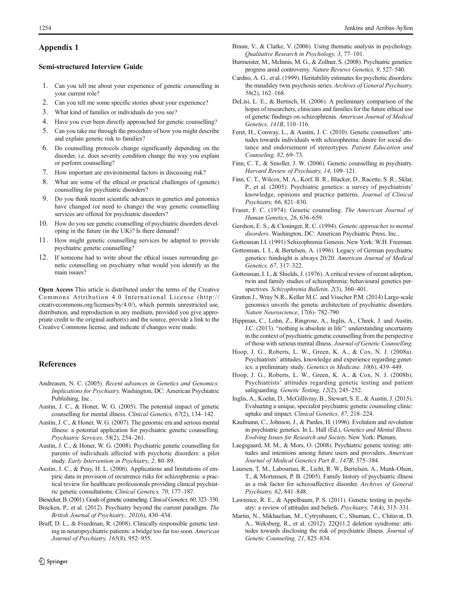## <span id="page-11-0"></span>Appendix 1

## Semi-structured Interview Guide

- 1. Can you tell me about your experience of genetic counselling in your current role?
- 2. Can you tell me some specific stories about your experience?
- 3. What kind of families or individuals do you see?
- 4. Have you ever been directly approached for genetic counselling?
- 5. Can you take me through the procedure of how you might describe and explain genetic risk to families?
- 6. Do counselling protocols change significantly depending on the disorder, i.e. does severity condition change the way you explain or perform counselling?
- 7. How important are environmental factors in discussing risk?
- 8. What are some of the ethical or practical challenges of (genetic) counselling for psychiatric disorders?
- 9. Do you think recent scientific advances in genetics and genomics have changed (or need to change) the way genetic counselling services are offered for psychiatric disorders?
- 10. How do you see genetic counselling of psychiatric disorders developing in the future (in the UK)? Is there demand?
- 11. How might genetic counselling services be adapted to provide psychiatric genetic counselling?
- 12. If someone had to write about the ethical issues surrounding genetic counselling on psychiatry what would you identify as the main issues?

Open Access This article is distributed under the terms of the Creative Commons Attribution 4.0 International License (http:// creativecommons.org/licenses/by/4.0/), which permits unrestricted use, distribution, and reproduction in any medium, provided you give appropriate credit to the original author(s) and the source, provide a link to the Creative Commons license, and indicate if changes were made.

## References

- Andreasen, N. C. (2005). Recent advances in Genetics and Genomics: Implications for Psychiatry. Washington, DC: American Psychiatric Publishing, Inc..
- Austin, J. C., & Honer, W. G. (2005). The potential impact of genetic counselling for mental illness. Clinical Genetics, 67(2), 134–142.
- Austin, J. C., & Honer, W. G. (2007). The genomic era and serious mental illness: a potential application for psychiatric genetic counselling. Psychiatric Services, 58(2), 254–261.
- Austin, J. C., & Honer, W. G. (2008). Psychiatric genetic counselling for parents of individuals affected with psychotic disorders: a pilot study. Early Intervention in Psychiatry, 2, 80–89.
- Austin, J. C., & Peay, H. L. (2006). Applications and limitations of empiric data in provision of recurrence risks for schizophrenia: a practical review for healthcare professionals providing clinical psychiatric genetic consultations. Clinical Genetics, 70, 177–187.
- Biesecker, B. (2001). Goals of genetic counseling. Clinical Genetics, 60, 323-330.
- Bracken, P., et al. (2012). Psychiatry beyond the current paradigm. The British Journal of Psychiatry., 201(6), 430–434.
- Braff, D. L., & Freedman, R. (2008). Clinically responsible genetic testing in neuropsychiatric patients: a bridge too far too soon. American Journal of Psychiatry, 165(8), 952–955.
- Braun, V., & Clarke, V. (2006). Using thematic analysis in psychology. Qualitative Research in Psychology, 3, 77–101.
- Burmeister, M., McInnis, M. G., & Zollner, S. (2008). Psychiatric genetics: progress amid controversy. Nature Reviews Genetics, 9, 527–540.
- Cardno, A. G., et al. (1999). Heritability estimates for psychotic disorders: the maudsley twin psychosis series. Archives of General Psychiatry, 56(2), 162–168.
- DeLisi, L. E., & Bertisch, H. (2006). A preliminary comparison of the hopes of researchers, clinicians and families for the future ethical use of genetic findings on schizophrenia. American Journal of Medical Genetics, 141B, 110–116.
- Feret, H., Conway, L., & Austin, J. C. (2010). Genetic counsellors' attitudes towards individuals with schizophrenia: desire for social distance and endorsement of stereotypes. Patient Education and Counseling, 82, 69–73.
- Finn, C. T., & Smoller, J. W. (2006). Genetic counselling in psychiatry. Harvard Review of Psychiatry, 14, 109–121.
- Finn, C. T., Wilcox, M. A., Korf, B. R., Blacker, D., Racette, S. R., Sklar, P., et al. (2005). Psychiatric genetics: a survey of psychiatrists' knowledge, opinions and practice patterns. Journal of Clinical Psychiatry, 66, 821–830.
- Fraser, F. C. (1974). Genetic counseling. The American Journal of Human Genetics, 26, 636–659.
- Gershon, E. S., & Cloninger, R. C. (1994). Genetic approaches to mental disorders. Washington, DC: American Psychiatric Press, Inc..
- Gottesman I.I. (1991) Schizophrenia Genesis. New York: W.H. Freeman.
- Gottesman, I. I., & Bertelsen, A. (1996). Legacy of German psychiatric genetics: hindsight is always 20/20. American Journal of Medical Genetics, 67, 317–322.
- Gottesman, I. I., & Shields, J. (1976). A critical review of recent adoption, twin and family studies of schizophrenia: behavioural genetics perspectives. Schizophrenia Bulletin, 2(3), 360–401.
- Gratten J., Wray N.R., Keller M.C. and Visscher P.M. (2014) Large-scale genomics unveils the genetic architecture of psychiatric disorders. Nature Neuroscience, 17(6)- 782-790
- Hippman, C., Lohn, Z., Ringrose, A., Inglis, A., Cheek, J. and Austin, J.C. (2013). "nothing is absolute in life": understanding uncertainty in the context of psychiatric genetic counselling from the perspective of those with serious mental illness. Journal of Genetic Counselling.
- Hoop, J. G., Roberts, L. W., Green, K. A., & Cox, N. J. (2008a). Psychiatrists' attitudes, knowledge and experience regarding genetics: a preliminary study. Genetics in Medicine, 10(6), 439–449.
- Hoop, J. G., Roberts, L. W., Green, K. A., & Cox, N. J. (2008b). Psychiatrists' attitudes regarding genetic testing and patient safeguarding. Genetic Testing, 12(2), 245–252.
- Inglis, A., Koehn, D., McGillivray, B., Stewart, S. E., & Austin, J. (2015). Evaluating a unique, specialist psychiatric genetic counseling clinic: uptake and impact. Clinical Genetics, 87, 218–224.
- Kaufmann, C., Johnson, J., & Pardes, H. (1996). Evolution and revolution in psychiatric genetics. In L. Hall (Ed.), Genetics and Mental Illness. Evolving Issues for Research and Society. New York: Plenum.
- Laegsgaard, M. M., & Mors, O. (2008). Psychiatric genetic testing: attitudes and intentions among future users and providers. American Journal of Medical Genetics Part B., 147B, 375–384.
- Laursen, T. M., Labouriau, R., Licht, R. W., Bertelsen, A., Munk-Olsen, T., & Mortensen, P. B. (2005). Family history of psychiatric illness as a risk factor for schizoaffective disorder. Archives of General Psychiatry, 62, 841–848.
- Lawrence, R. E., & Appelbaum, P. S. (2011). Genetic testing in psychiatry: a review of attitudes and beliefs. Psychiatry, 74(4), 315–331.
- Martin, N., Mikhaelian, M., Cytrynbaum, C., Shuman, C., Chitavat, D. A., Weksberg, R., et al. (2012). 22Q11.2 deletion syndrome: attitudes towards disclosing the risk of psychiatric illness. Journal of Genetic Counseling, 21, 825–834.